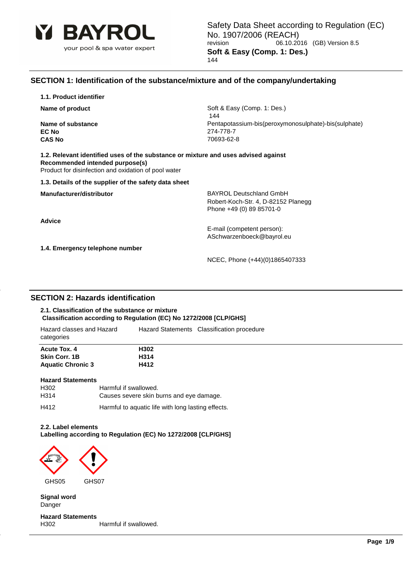

### **SECTION 1: Identification of the substance/mixture and of the company/undertaking**

**1.1. Product identifier**

**EC No** 274-778-7 **CAS No** 70693-62-8

**Name of product** Soft & Easy (Comp. 1: Des.) 144 **Name of substance Name of substance Pentapotassium-bis(peroxymonosulphate)-bis(sulphate)** 

**1.2. Relevant identified uses of the substance or mixture and uses advised against Recommended intended purpose(s)** Product for disinfection and oxidation of pool water

**1.3. Details of the supplier of the safety data sheet**

**Advice**

**Manufacturer/distributor BAYROL Deutschland GmbH** Robert-Koch-Str. 4, D-82152 Planegg Phone +49 (0) 89 85701-0

> E-mail (competent person): ASchwarzenboeck@bayrol.eu

**1.4. Emergency telephone number**

NCEC, Phone (+44)(0)1865407333

### **SECTION 2: Hazards identification**

### **2.1. Classification of the substance or mixture Classification according to Regulation (EC) No 1272/2008 [CLP/GHS]**

| Hazard classes and Hazard<br>categories | Hazard Statements Classification procedure |
|-----------------------------------------|--------------------------------------------|
| Acute Tox, 4                            | H302                                       |
| <b>Skin Corr. 1B</b>                    | H314                                       |
| <b>Aquatic Chronic 3</b>                | H412                                       |
| <b>Hazard Statements</b>                |                                            |

| H302 | Harmful if swallowed.                              |
|------|----------------------------------------------------|
| H314 | Causes severe skin burns and eye damage.           |
| H412 | Harmful to aquatic life with long lasting effects. |

### **2.2. Label elements**

**Labelling according to Regulation (EC) No 1272/2008 [CLP/GHS]**



**Signal word** Danger

**Hazard Statements** H302 Harmful if swallowed.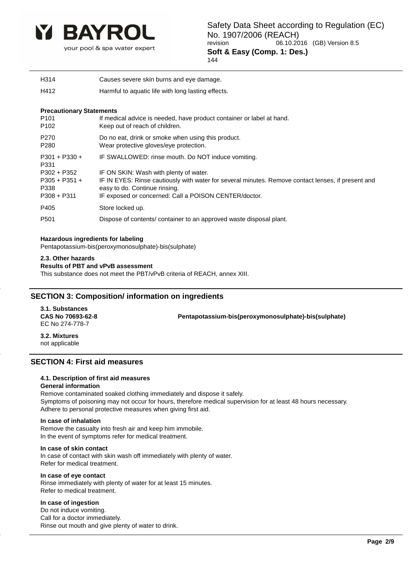

your pool & spa water expert

144

H314 Causes severe skin burns and eye damage.

H412 Harmful to aquatic life with long lasting effects.

### **Precautionary Statements**

| P <sub>101</sub>        | If medical advice is needed, have product container or label at hand.                              |
|-------------------------|----------------------------------------------------------------------------------------------------|
| P <sub>102</sub>        | Keep out of reach of children.                                                                     |
| P <sub>270</sub>        | Do no eat, drink or smoke when using this product.                                                 |
| P <sub>280</sub>        | Wear protective gloves/eye protection.                                                             |
| $P301 + P330 +$<br>P331 | IF SWALLOWED: rinse mouth. Do NOT induce vomiting.                                                 |
| $P302 + P352$           | IF ON SKIN: Wash with plenty of water.                                                             |
| $P305 + P351 +$         | IF IN EYES: Rinse cautiously with water for several minutes. Remove contact lenses, if present and |
| P338                    | easy to do. Continue rinsing.                                                                      |
| $P308 + P311$           | IF exposed or concerned: Call a POISON CENTER/doctor.                                              |
| P405                    | Store locked up.                                                                                   |
| P <sub>501</sub>        | Dispose of contents/ container to an approved waste disposal plant.                                |

### **Hazardous ingredients for labeling**

Pentapotassium-bis(peroxymonosulphate)-bis(sulphate)

### **2.3. Other hazards**

### **Results of PBT and vPvB assessment**

This substance does not meet the PBT/vPvB criteria of REACH, annex XIII.

# **SECTION 3: Composition/ information on ingredients**

**3.1. Substances** EC No 274-778-7

**CAS No 70693-62-8 Pentapotassium-bis(peroxymonosulphate)-bis(sulphate)**

**3.2. Mixtures** not applicable

### **SECTION 4: First aid measures**

### **4.1. Description of first aid measures**

### **General information**

Remove contaminated soaked clothing immediately and dispose it safely. Symptoms of poisoning may not occur for hours, therefore medical supervision for at least 48 hours necessary. Adhere to personal protective measures when giving first aid.

### **In case of inhalation**

Remove the casualty into fresh air and keep him immobile. In the event of symptoms refer for medical treatment.

### **In case of skin contact**

In case of contact with skin wash off immediately with plenty of water. Refer for medical treatment.

### **In case of eye contact**

Rinse immediately with plenty of water for at least 15 minutes. Refer to medical treatment.

### **In case of ingestion**

Do not induce vomiting. Call for a doctor immediately. Rinse out mouth and give plenty of water to drink.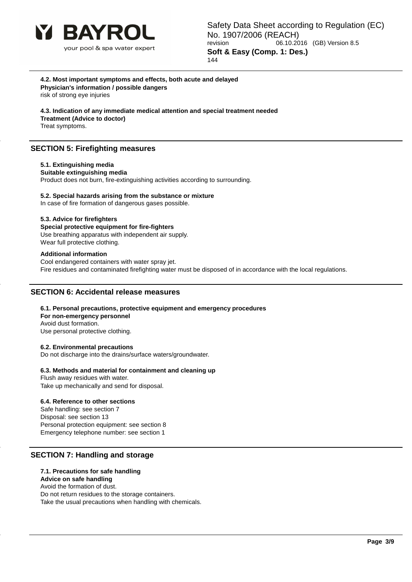

**4.2. Most important symptoms and effects, both acute and delayed Physician's information / possible dangers** risk of strong eye injuries

**4.3. Indication of any immediate medical attention and special treatment needed Treatment (Advice to doctor)**

Treat symptoms.

# **SECTION 5: Firefighting measures**

### **5.1. Extinguishing media**

**Suitable extinguishing media** Product does not burn, fire-extinguishing activities according to surrounding.

**5.2. Special hazards arising from the substance or mixture**

In case of fire formation of dangerous gases possible.

### **5.3. Advice for firefighters**

**Special protective equipment for fire-fighters** Use breathing apparatus with independent air supply. Wear full protective clothing.

### **Additional information**

Cool endangered containers with water spray jet. Fire residues and contaminated firefighting water must be disposed of in accordance with the local regulations.

### **SECTION 6: Accidental release measures**

**6.1. Personal precautions, protective equipment and emergency procedures For non-emergency personnel** Avoid dust formation. Use personal protective clothing.

### **6.2. Environmental precautions**

Do not discharge into the drains/surface waters/groundwater.

### **6.3. Methods and material for containment and cleaning up**

Flush away residues with water. Take up mechanically and send for disposal.

### **6.4. Reference to other sections**

Safe handling: see section 7 Disposal: see section 13 Personal protection equipment: see section 8 Emergency telephone number: see section 1

### **SECTION 7: Handling and storage**

### **7.1. Precautions for safe handling**

#### **Advice on safe handling** Avoid the formation of dust.

Do not return residues to the storage containers.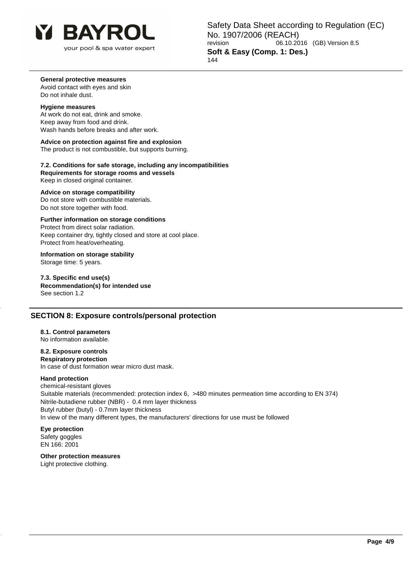

your pool & spa water expert

Safety Data Sheet according to Regulation (EC) No. 1907/2006 (REACH)<br>10.20 06.10.20 06.10.2016 (GB) Version 8.5 **Soft & Easy (Comp. 1: Des.)** 144

### **General protective measures**

Avoid contact with eyes and skin Do not inhale dust.

#### **Hygiene measures**

At work do not eat, drink and smoke. Keep away from food and drink. Wash hands before breaks and after work.

### **Advice on protection against fire and explosion**

The product is not combustible, but supports burning.

### **7.2. Conditions for safe storage, including any incompatibilities Requirements for storage rooms and vessels** Keep in closed original container.

### **Advice on storage compatibility**

Do not store with combustible materials. Do not store together with food.

### **Further information on storage conditions**

Protect from direct solar radiation. Keep container dry, tightly closed and store at cool place. Protect from heat/overheating.

#### **Information on storage stability** Storage time: 5 years.

**7.3. Specific end use(s) Recommendation(s) for intended use** See section 1.2

### **SECTION 8: Exposure controls/personal protection**

### **8.1. Control parameters**

No information available.

# **8.2. Exposure controls**

**Respiratory protection** In case of dust formation wear micro dust mask.

#### **Hand protection**

chemical-resistant gloves Suitable materials (recommended: protection index 6, >480 minutes permeation time according to EN 374) Nitrile-butadiene rubber (NBR) - 0.4 mm layer thickness Butyl rubber (butyl) - 0.7mm layer thickness In view of the many different types, the manufacturers' directions for use must be followed

# **Eye protection**

Safety goggles EN 166: 2001

# **Other protection measures**

Light protective clothing.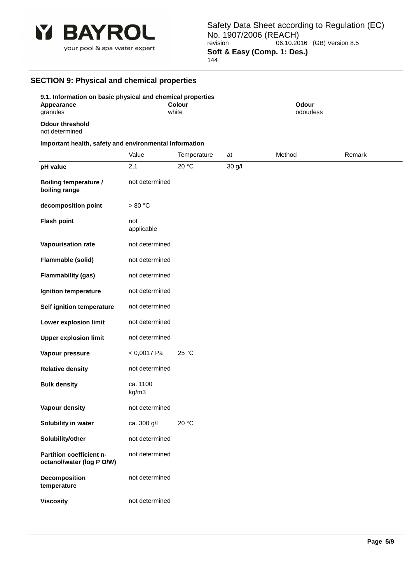

### 144

# **SECTION 9: Physical and chemical properties**

| .                                                                                    |                   |                        |        |                           |        |
|--------------------------------------------------------------------------------------|-------------------|------------------------|--------|---------------------------|--------|
| 9.1. Information on basic physical and chemical properties<br>Appearance<br>granules |                   | <b>Colour</b><br>white |        | <b>Odour</b><br>odourless |        |
| <b>Odour threshold</b><br>not determined                                             |                   |                        |        |                           |        |
| Important health, safety and environmental information                               |                   |                        |        |                           |        |
|                                                                                      | Value             | Temperature            | at     | Method                    | Remark |
| pH value                                                                             | 2,1               | 20 °C                  | 30 g/l |                           |        |
| <b>Boiling temperature /</b><br>boiling range                                        | not determined    |                        |        |                           |        |
| decomposition point                                                                  | >80 °C            |                        |        |                           |        |
| <b>Flash point</b>                                                                   | not<br>applicable |                        |        |                           |        |
| Vapourisation rate                                                                   | not determined    |                        |        |                           |        |
| Flammable (solid)                                                                    | not determined    |                        |        |                           |        |
| <b>Flammability (gas)</b>                                                            | not determined    |                        |        |                           |        |
| Ignition temperature                                                                 | not determined    |                        |        |                           |        |
| Self ignition temperature                                                            | not determined    |                        |        |                           |        |
| Lower explosion limit                                                                | not determined    |                        |        |                           |        |
| <b>Upper explosion limit</b>                                                         | not determined    |                        |        |                           |        |
| Vapour pressure                                                                      | $< 0,0017$ Pa     | 25 °C                  |        |                           |        |
| <b>Relative density</b>                                                              | not determined    |                        |        |                           |        |
| <b>Bulk density</b>                                                                  | ca. 1100<br>kg/m3 |                        |        |                           |        |
| Vapour density                                                                       | not determined    |                        |        |                           |        |
| Solubility in water                                                                  | ca. 300 g/l       | 20 °C                  |        |                           |        |
| Solubility/other                                                                     | not determined    |                        |        |                           |        |
| Partition coefficient n-<br>octanol/water (log P O/W)                                | not determined    |                        |        |                           |        |
| Decomposition<br>temperature                                                         | not determined    |                        |        |                           |        |
| <b>Viscosity</b>                                                                     | not determined    |                        |        |                           |        |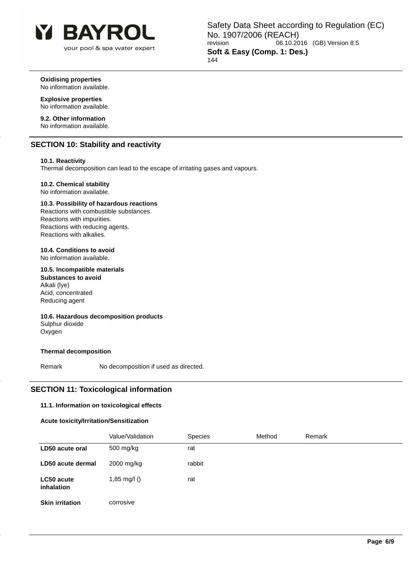

Safety Data Sheet according to Regulation (EC) No. 1907/2006 (REACH)<br>
06.10.20<br>
06.10.20 06.10.2016 (GB) Version 8.5 **Soft & Easy (Comp. 1: Des.)** 144

**Oxidising properties** No information available.

### **Explosive properties** No information available.

**9.2. Other information** No information available.

# **SECTION 10: Stability and reactivity**

### **10.1. Reactivity**

Thermal decomposition can lead to the escape of irritating gases and vapours.

### **10.2. Chemical stability**

No information available.

### **10.3. Possibility of hazardous reactions**

Reactions with combustible substances. Reactions with impurities. Reactions with reducing agents. Reactions with alkalies.

### **10.4. Conditions to avoid**

No information available.

### **10.5. Incompatible materials**

**Substances to avoid** Alkali (lye) Acid, concentrated Reducing agent

### **10.6. Hazardous decomposition products** Sulphur dioxide

Oxygen

### **Thermal decomposition**

Remark No decomposition if used as directed.

### **SECTION 11: Toxicological information**

### **11.1. Information on toxicological effects**

### **Acute toxicity/Irritation/Sensitization**

|                          | Value/Validation | Species | Method | Remark |
|--------------------------|------------------|---------|--------|--------|
| LD50 acute oral          | 500 mg/kg        | rat     |        |        |
| LD50 acute dermal        | 2000 mg/kg       | rabbit  |        |        |
| LC50 acute<br>inhalation | 1,85 mg/l $()$   | rat     |        |        |
| <b>Skin irritation</b>   | corrosive        |         |        |        |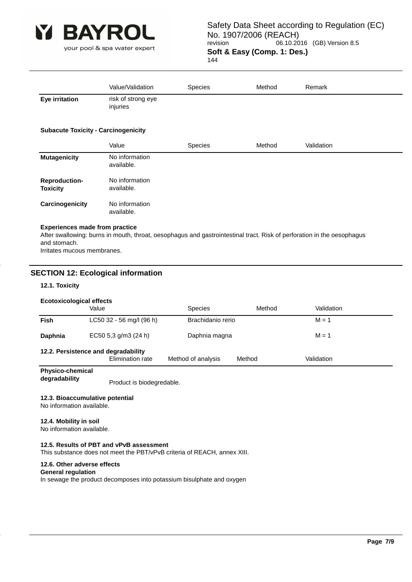

144

|                                        | Value/Validation               | <b>Species</b> | Method | Remark |  |
|----------------------------------------|--------------------------------|----------------|--------|--------|--|
| <b>Eye irritation</b>                  | risk of strong eye<br>injuries |                |        |        |  |
| Automate Tentation Association deliver |                                |                |        |        |  |

### **Subacute Toxicity - Carcinogenicity**

|                                         | Value                        | <b>Species</b> | Method | Validation |
|-----------------------------------------|------------------------------|----------------|--------|------------|
| <b>Mutagenicity</b>                     | No information<br>available. |                |        |            |
| <b>Reproduction-</b><br><b>Toxicity</b> | No information<br>available. |                |        |            |
| Carcinogenicity                         | No information<br>available. |                |        |            |

### **Experiences made from practice**

After swallowing: burns in mouth, throat, oesophagus and gastrointestinal tract. Risk of perforation in the oesophagus and stomach. Irritates mucous membranes.

### **SECTION 12: Ecological information**

### **12.1. Toxicity**

| <b>Ecotoxicological effects</b>                                                                       |                          |                   |        |            |  |
|-------------------------------------------------------------------------------------------------------|--------------------------|-------------------|--------|------------|--|
|                                                                                                       | Value                    | <b>Species</b>    | Method | Validation |  |
| Fish                                                                                                  | LC50 32 - 56 mg/l (96 h) | Brachidanio rerio |        | $M = 1$    |  |
| Daphnia                                                                                               | EC50 5,3 g/m3 (24 h)     | Daphnia magna     |        | $M = 1$    |  |
| 12.2. Persistence and degradability<br>Elimination rate<br>Method of analysis<br>Validation<br>Method |                          |                   |        |            |  |

**Physico-chemical** 

**degradability** Product is biodegredable.

### **12.3. Bioaccumulative potential**

No information available.

### **12.4. Mobility in soil**

No information available.

### **12.5. Results of PBT and vPvB assessment**

This substance does not meet the PBT/vPvB criteria of REACH, annex XIII.

### **12.6. Other adverse effects**

#### **General regulation**

In sewage the product decomposes into potassium bisulphate and oxygen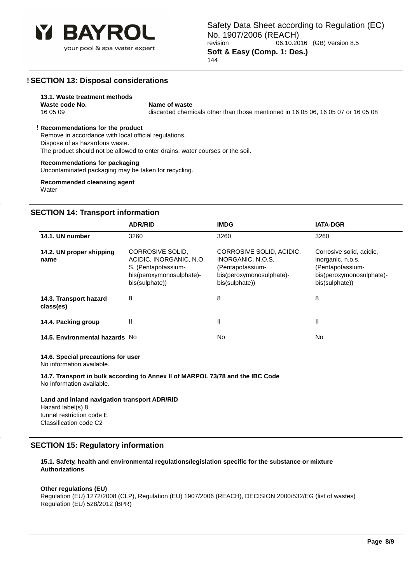

### **! SECTION 13: Disposal considerations**

#### **13.1. Waste treatment methods Waste code No.** Name of waste

16 05 09 discarded chemicals other than those mentioned in 16 05 06, 16 05 07 or 16 05 08

### ! **Recommendations for the product**

Remove in accordance with local official regulations. Dispose of as hazardous waste. The product should not be allowed to enter drains, water courses or the soil.

### **Recommendations for packaging**

Uncontaminated packaging may be taken for recycling.

**Recommended cleansing agent Water** 

### **SECTION 14: Transport information**

|                                     | <b>ADR/RID</b>                                                                                                   | <b>IMDG</b>                                                                                                     | <b>IATA-DGR</b>                                                                                                 |
|-------------------------------------|------------------------------------------------------------------------------------------------------------------|-----------------------------------------------------------------------------------------------------------------|-----------------------------------------------------------------------------------------------------------------|
| 14.1. UN number                     | 3260                                                                                                             | 3260                                                                                                            | 3260                                                                                                            |
| 14.2. UN proper shipping<br>name    | CORROSIVE SOLID.<br>ACIDIC, INORGANIC, N.O.<br>S. (Pentapotassium-<br>bis(peroxymonosulphate)-<br>bis(sulphate)) | CORROSIVE SOLID, ACIDIC,<br>INORGANIC, N.O.S.<br>(Pentapotassium-<br>bis(peroxymonosulphate)-<br>bis(sulphate)) | Corrosive solid, acidic,<br>inorganic, n.o.s.<br>(Pentapotassium-<br>bis(peroxymonosulphate)-<br>bis(sulphate)) |
| 14.3. Transport hazard<br>class(es) | 8                                                                                                                | 8                                                                                                               | 8                                                                                                               |
| 14.4. Packing group                 | Ш                                                                                                                | Ш                                                                                                               | Ш                                                                                                               |
| 14.5. Environmental hazards No      |                                                                                                                  | No.                                                                                                             | No.                                                                                                             |

#### **14.6. Special precautions for user**

No information available.

**14.7. Transport in bulk according to Annex II of MARPOL 73/78 and the IBC Code** No information available.

### **Land and inland navigation transport ADR/RID** Hazard label(s) 8 tunnel restriction code E Classification code C2

### **SECTION 15: Regulatory information**

**15.1. Safety, health and environmental regulations/legislation specific for the substance or mixture Authorizations**

### **Other regulations (EU)**

Regulation (EU) 1272/2008 (CLP), Regulation (EU) 1907/2006 (REACH), DECISION 2000/532/EG (list of wastes) Regulation (EU) 528/2012 (BPR)